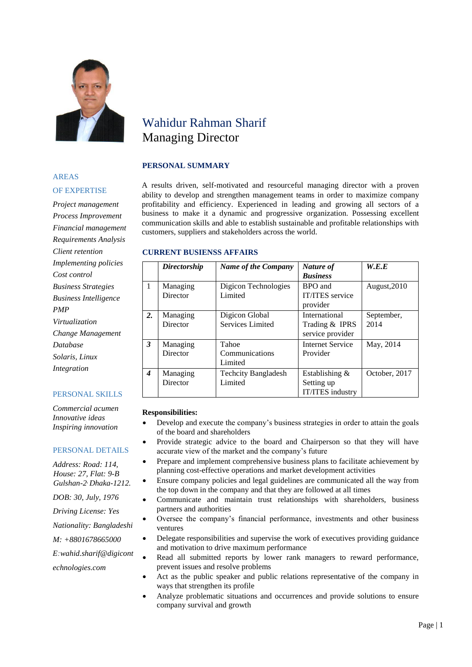

# Wahidur Rahman Sharif Managing Director

# **PERSONAL SUMMARY**

#### A results driven, self-motivated and resourceful managing director with a proven ability to develop and strengthen management teams in order to maximize company profitability and efficiency. Experienced in leading and growing all sectors of a business to make it a dynamic and progressive organization. Possessing excellent communication skills and able to establish sustainable and profitable relationships with customers, suppliers and stakeholders across the world.

#### **CURRENT BUSIENSS AFFAIRS**

|    | Directorship         | <b>Name of the Company</b>            | Nature of<br><b>Business</b>                        | W.E.E              |
|----|----------------------|---------------------------------------|-----------------------------------------------------|--------------------|
| 1  | Managing<br>Director | Digicon Technologies<br>Limited       | BPO and<br><b>IT/ITES</b> service<br>provider       | August, 2010       |
| 2. | Managing<br>Director | Digicon Global<br>Services Limited    | International<br>Trading & IPRS<br>service provider | September,<br>2014 |
| 3  | Managing<br>Director | Tahoe<br>Communications<br>Limited    | <b>Internet Service</b><br>Provider                 | May, 2014          |
| 4  | Managing<br>Director | <b>Techcity Bangladesh</b><br>Limited | Establishing $&$<br>Setting up<br>IT/ITES industry  | October, 2017      |

#### **Responsibilities:**

- Develop and execute the company's business strategies in order to attain the goals of the board and shareholders
- Provide strategic advice to the board and Chairperson so that they will have accurate view of the market and the company's future
- Prepare and implement comprehensive business plans to facilitate achievement by planning cost-effective operations and market development activities
- Ensure company policies and legal guidelines are communicated all the way from the top down in the company and that they are followed at all times
- Communicate and maintain trust relationships with shareholders, business partners and authorities
- Oversee the company's financial performance, investments and other business ventures
- Delegate responsibilities and supervise the work of executives providing guidance and motivation to drive maximum performance
- Read all submitted reports by lower rank managers to reward performance, prevent issues and resolve problems
- Act as the public speaker and public relations representative of the company in ways that strengthen its profile
- Analyze problematic situations and occurrences and provide solutions to ensure company survival and growth

# AREAS OF EXPERTISE

*Project management Process Improvement Financial management Requirements Analysis Client retention Implementing policies Cost control Business Strategies Business Intelligence PMP Virtualization Change Management Database Solaris, Linux Integration*

# PERSONAL SKILLS

*Commercial acumen Innovative ideas Inspiring innovation*

# PERSONAL DETAILS

*Address: Road: 114, House: 27, Flat: 9-B Gulshan-2 , Dhaka-1212.*

*DOB: 30, July, 1976*

*Driving License: Yes*

*Nationality: Bangladeshi*

*M: +8801678665000*

*E:wahid.sharif@digicont*

*echnologies.com* 

Page | 1